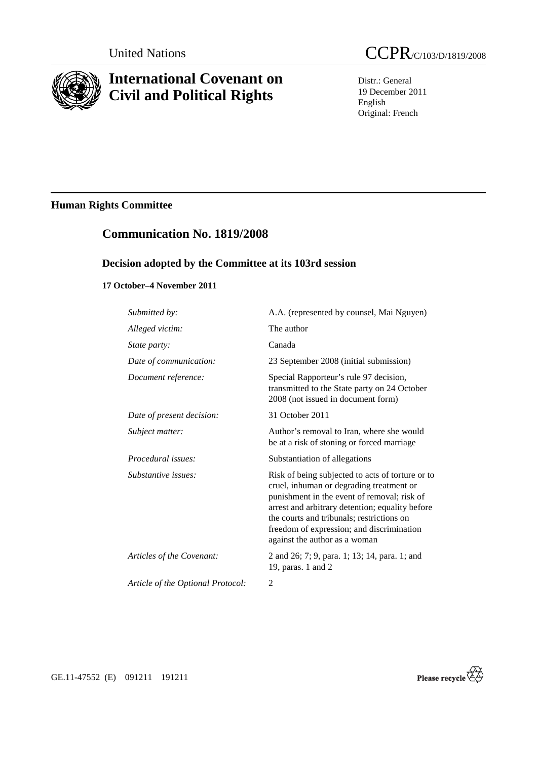

# **International Covenant on Civil and Political Rights**



Distr.: General 19 December 2011 English Original: French

## **Human Rights Committee**

## **Communication No. 1819/2008**

## **Decision adopted by the Committee at its 103rd session**

## **17 October–4 November 2011**

| Submitted by:                     | A.A. (represented by counsel, Mai Nguyen)                                                                                                                                                                                                                                                                                 |
|-----------------------------------|---------------------------------------------------------------------------------------------------------------------------------------------------------------------------------------------------------------------------------------------------------------------------------------------------------------------------|
| Alleged victim:                   | The author                                                                                                                                                                                                                                                                                                                |
| <i>State party:</i>               | Canada                                                                                                                                                                                                                                                                                                                    |
| Date of communication:            | 23 September 2008 (initial submission)                                                                                                                                                                                                                                                                                    |
| Document reference:               | Special Rapporteur's rule 97 decision,<br>transmitted to the State party on 24 October<br>2008 (not issued in document form)                                                                                                                                                                                              |
| Date of present decision:         | 31 October 2011                                                                                                                                                                                                                                                                                                           |
| Subject matter:                   | Author's removal to Iran, where she would<br>be at a risk of stoning or forced marriage                                                                                                                                                                                                                                   |
| Procedural issues:                | Substantiation of allegations                                                                                                                                                                                                                                                                                             |
| Substantive issues:               | Risk of being subjected to acts of torture or to<br>cruel, inhuman or degrading treatment or<br>punishment in the event of removal; risk of<br>arrest and arbitrary detention; equality before<br>the courts and tribunals; restrictions on<br>freedom of expression; and discrimination<br>against the author as a woman |
| Articles of the Covenant:         | 2 and 26; 7; 9, para. 1; 13; 14, para. 1; and<br>19, paras. 1 and 2                                                                                                                                                                                                                                                       |
| Article of the Optional Protocol: | 2                                                                                                                                                                                                                                                                                                                         |



GE.11-47552 (E) 091211 191211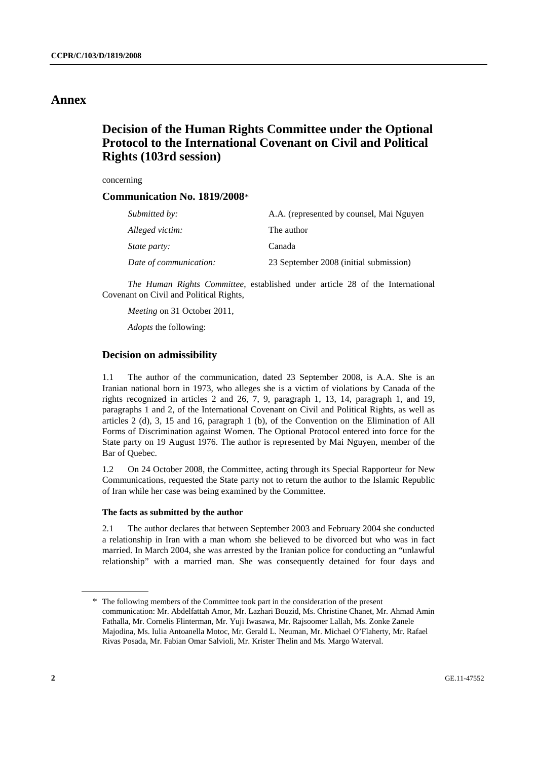## **Annex**

## **Decision of the Human Rights Committee under the Optional Protocol to the International Covenant on Civil and Political Rights (103rd session)**

concerning

### **Communication No. 1819/2008**\*

| Submitted by:          | A.A. (represented by counsel, Mai Nguyen |
|------------------------|------------------------------------------|
| Alleged victim:        | The author                               |
| <i>State party:</i>    | Canada                                   |
| Date of communication: | 23 September 2008 (initial submission)   |

*The Human Rights Committee*, established under article 28 of the International Covenant on Civil and Political Rights,

*Meeting* on 31 October 2011,

*Adopts* the following:

### **Decision on admissibility**

1.1 The author of the communication, dated 23 September 2008, is A.A. She is an Iranian national born in 1973, who alleges she is a victim of violations by Canada of the rights recognized in articles 2 and 26, 7, 9, paragraph 1, 13, 14, paragraph 1, and 19, paragraphs 1 and 2, of the International Covenant on Civil and Political Rights, as well as articles 2 (d), 3, 15 and 16, paragraph 1 (b), of the Convention on the Elimination of All Forms of Discrimination against Women. The Optional Protocol entered into force for the State party on 19 August 1976. The author is represented by Mai Nguyen, member of the Bar of Quebec.

1.2 On 24 October 2008, the Committee, acting through its Special Rapporteur for New Communications, requested the State party not to return the author to the Islamic Republic of Iran while her case was being examined by the Committee.

#### **The facts as submitted by the author**

2.1 The author declares that between September 2003 and February 2004 she conducted a relationship in Iran with a man whom she believed to be divorced but who was in fact married. In March 2004, she was arrested by the Iranian police for conducting an "unlawful relationship" with a married man. She was consequently detained for four days and

<sup>\*</sup> The following members of the Committee took part in the consideration of the present communication: Mr. Abdelfattah Amor, Mr. Lazhari Bouzid, Ms. Christine Chanet, Mr. Ahmad Amin Fathalla, Mr. Cornelis Flinterman, Mr. Yuji Iwasawa, Mr. Rajsoomer Lallah, Ms. Zonke Zanele Majodina, Ms. Iulia Antoanella Motoc, Mr. Gerald L. Neuman, Mr. Michael O'Flaherty, Mr. Rafael Rivas Posada, Mr. Fabian Omar Salvioli, Mr. Krister Thelin and Ms. Margo Waterval.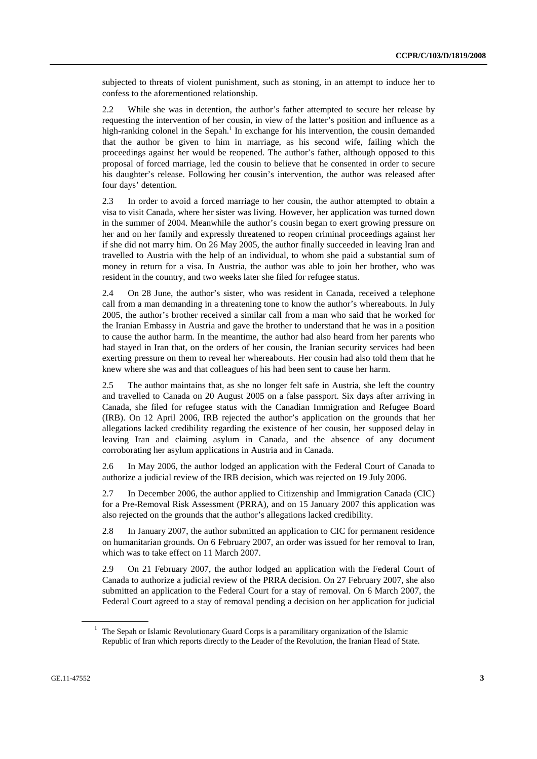subjected to threats of violent punishment, such as stoning, in an attempt to induce her to confess to the aforementioned relationship.

2.2 While she was in detention, the author's father attempted to secure her release by requesting the intervention of her cousin, in view of the latter's position and influence as a high-ranking colonel in the Sepah.<sup>1</sup> In exchange for his intervention, the cousin demanded that the author be given to him in marriage, as his second wife, failing which the proceedings against her would be reopened. The author's father, although opposed to this proposal of forced marriage, led the cousin to believe that he consented in order to secure his daughter's release. Following her cousin's intervention, the author was released after four days' detention.

2.3 In order to avoid a forced marriage to her cousin, the author attempted to obtain a visa to visit Canada, where her sister was living. However, her application was turned down in the summer of 2004. Meanwhile the author's cousin began to exert growing pressure on her and on her family and expressly threatened to reopen criminal proceedings against her if she did not marry him. On 26 May 2005, the author finally succeeded in leaving Iran and travelled to Austria with the help of an individual, to whom she paid a substantial sum of money in return for a visa. In Austria, the author was able to join her brother, who was resident in the country, and two weeks later she filed for refugee status.

2.4 On 28 June, the author's sister, who was resident in Canada, received a telephone call from a man demanding in a threatening tone to know the author's whereabouts. In July 2005, the author's brother received a similar call from a man who said that he worked for the Iranian Embassy in Austria and gave the brother to understand that he was in a position to cause the author harm. In the meantime, the author had also heard from her parents who had stayed in Iran that, on the orders of her cousin, the Iranian security services had been exerting pressure on them to reveal her whereabouts. Her cousin had also told them that he knew where she was and that colleagues of his had been sent to cause her harm.

2.5 The author maintains that, as she no longer felt safe in Austria, she left the country and travelled to Canada on 20 August 2005 on a false passport. Six days after arriving in Canada, she filed for refugee status with the Canadian Immigration and Refugee Board (IRB). On 12 April 2006, IRB rejected the author's application on the grounds that her allegations lacked credibility regarding the existence of her cousin, her supposed delay in leaving Iran and claiming asylum in Canada, and the absence of any document corroborating her asylum applications in Austria and in Canada.

2.6 In May 2006, the author lodged an application with the Federal Court of Canada to authorize a judicial review of the IRB decision, which was rejected on 19 July 2006.

2.7 In December 2006, the author applied to Citizenship and Immigration Canada (CIC) for a Pre-Removal Risk Assessment (PRRA), and on 15 January 2007 this application was also rejected on the grounds that the author's allegations lacked credibility.

2.8 In January 2007, the author submitted an application to CIC for permanent residence on humanitarian grounds. On 6 February 2007, an order was issued for her removal to Iran, which was to take effect on 11 March 2007.

2.9 On 21 February 2007, the author lodged an application with the Federal Court of Canada to authorize a judicial review of the PRRA decision. On 27 February 2007, she also submitted an application to the Federal Court for a stay of removal. On 6 March 2007, the Federal Court agreed to a stay of removal pending a decision on her application for judicial

<sup>&</sup>lt;sup>1</sup> The Sepah or Islamic Revolutionary Guard Corps is a paramilitary organization of the Islamic Republic of Iran which reports directly to the Leader of the Revolution, the Iranian Head of State.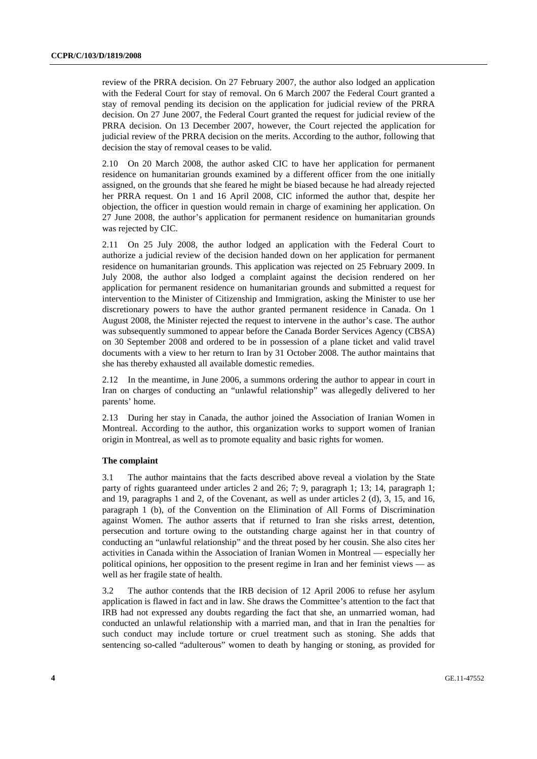review of the PRRA decision. On 27 February 2007, the author also lodged an application with the Federal Court for stay of removal. On 6 March 2007 the Federal Court granted a stay of removal pending its decision on the application for judicial review of the PRRA decision. On 27 June 2007, the Federal Court granted the request for judicial review of the PRRA decision. On 13 December 2007, however, the Court rejected the application for judicial review of the PRRA decision on the merits. According to the author, following that decision the stay of removal ceases to be valid.

2.10 On 20 March 2008, the author asked CIC to have her application for permanent residence on humanitarian grounds examined by a different officer from the one initially assigned, on the grounds that she feared he might be biased because he had already rejected her PRRA request. On 1 and 16 April 2008, CIC informed the author that, despite her objection, the officer in question would remain in charge of examining her application. On 27 June 2008, the author's application for permanent residence on humanitarian grounds was rejected by CIC.

2.11 On 25 July 2008, the author lodged an application with the Federal Court to authorize a judicial review of the decision handed down on her application for permanent residence on humanitarian grounds. This application was rejected on 25 February 2009. In July 2008, the author also lodged a complaint against the decision rendered on her application for permanent residence on humanitarian grounds and submitted a request for intervention to the Minister of Citizenship and Immigration, asking the Minister to use her discretionary powers to have the author granted permanent residence in Canada. On 1 August 2008, the Minister rejected the request to intervene in the author's case. The author was subsequently summoned to appear before the Canada Border Services Agency (CBSA) on 30 September 2008 and ordered to be in possession of a plane ticket and valid travel documents with a view to her return to Iran by 31 October 2008. The author maintains that she has thereby exhausted all available domestic remedies.

2.12 In the meantime, in June 2006, a summons ordering the author to appear in court in Iran on charges of conducting an "unlawful relationship" was allegedly delivered to her parents' home.

2.13 During her stay in Canada, the author joined the Association of Iranian Women in Montreal. According to the author, this organization works to support women of Iranian origin in Montreal, as well as to promote equality and basic rights for women.

#### **The complaint**

3.1 The author maintains that the facts described above reveal a violation by the State party of rights guaranteed under articles 2 and 26; 7; 9, paragraph 1; 13; 14, paragraph 1; and 19, paragraphs 1 and 2, of the Covenant, as well as under articles 2 (d), 3, 15, and 16, paragraph 1 (b), of the Convention on the Elimination of All Forms of Discrimination against Women. The author asserts that if returned to Iran she risks arrest, detention, persecution and torture owing to the outstanding charge against her in that country of conducting an "unlawful relationship" and the threat posed by her cousin. She also cites her activities in Canada within the Association of Iranian Women in Montreal — especially her political opinions, her opposition to the present regime in Iran and her feminist views — as well as her fragile state of health.

3.2 The author contends that the IRB decision of 12 April 2006 to refuse her asylum application is flawed in fact and in law. She draws the Committee's attention to the fact that IRB had not expressed any doubts regarding the fact that she, an unmarried woman, had conducted an unlawful relationship with a married man, and that in Iran the penalties for such conduct may include torture or cruel treatment such as stoning. She adds that sentencing so-called "adulterous" women to death by hanging or stoning, as provided for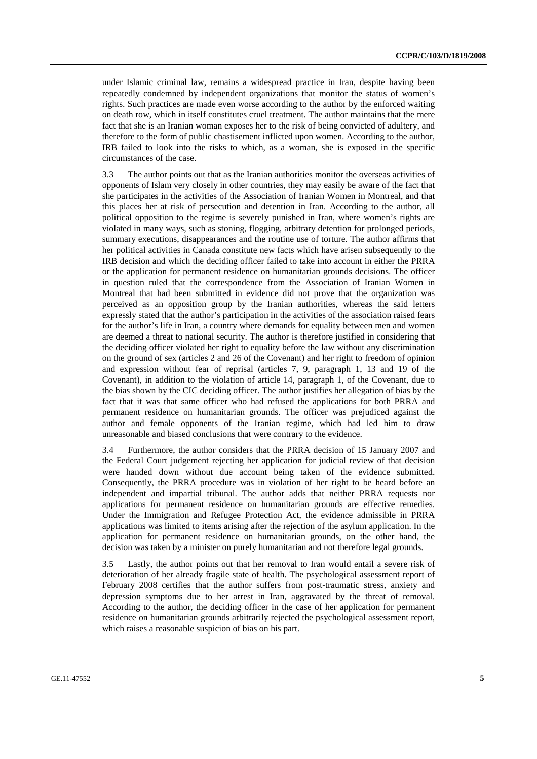under Islamic criminal law, remains a widespread practice in Iran, despite having been repeatedly condemned by independent organizations that monitor the status of women's rights. Such practices are made even worse according to the author by the enforced waiting on death row, which in itself constitutes cruel treatment. The author maintains that the mere fact that she is an Iranian woman exposes her to the risk of being convicted of adultery, and therefore to the form of public chastisement inflicted upon women. According to the author, IRB failed to look into the risks to which, as a woman, she is exposed in the specific circumstances of the case.

3.3 The author points out that as the Iranian authorities monitor the overseas activities of opponents of Islam very closely in other countries, they may easily be aware of the fact that she participates in the activities of the Association of Iranian Women in Montreal, and that this places her at risk of persecution and detention in Iran. According to the author, all political opposition to the regime is severely punished in Iran, where women's rights are violated in many ways, such as stoning, flogging, arbitrary detention for prolonged periods, summary executions, disappearances and the routine use of torture. The author affirms that her political activities in Canada constitute new facts which have arisen subsequently to the IRB decision and which the deciding officer failed to take into account in either the PRRA or the application for permanent residence on humanitarian grounds decisions. The officer in question ruled that the correspondence from the Association of Iranian Women in Montreal that had been submitted in evidence did not prove that the organization was perceived as an opposition group by the Iranian authorities, whereas the said letters expressly stated that the author's participation in the activities of the association raised fears for the author's life in Iran, a country where demands for equality between men and women are deemed a threat to national security. The author is therefore justified in considering that the deciding officer violated her right to equality before the law without any discrimination on the ground of sex (articles 2 and 26 of the Covenant) and her right to freedom of opinion and expression without fear of reprisal (articles 7, 9, paragraph 1, 13 and 19 of the Covenant), in addition to the violation of article 14, paragraph 1, of the Covenant, due to the bias shown by the CIC deciding officer. The author justifies her allegation of bias by the fact that it was that same officer who had refused the applications for both PRRA and permanent residence on humanitarian grounds. The officer was prejudiced against the author and female opponents of the Iranian regime, which had led him to draw unreasonable and biased conclusions that were contrary to the evidence.

3.4 Furthermore, the author considers that the PRRA decision of 15 January 2007 and the Federal Court judgement rejecting her application for judicial review of that decision were handed down without due account being taken of the evidence submitted. Consequently, the PRRA procedure was in violation of her right to be heard before an independent and impartial tribunal. The author adds that neither PRRA requests nor applications for permanent residence on humanitarian grounds are effective remedies. Under the Immigration and Refugee Protection Act, the evidence admissible in PRRA applications was limited to items arising after the rejection of the asylum application. In the application for permanent residence on humanitarian grounds, on the other hand, the decision was taken by a minister on purely humanitarian and not therefore legal grounds.

3.5 Lastly, the author points out that her removal to Iran would entail a severe risk of deterioration of her already fragile state of health. The psychological assessment report of February 2008 certifies that the author suffers from post-traumatic stress, anxiety and depression symptoms due to her arrest in Iran, aggravated by the threat of removal. According to the author, the deciding officer in the case of her application for permanent residence on humanitarian grounds arbitrarily rejected the psychological assessment report, which raises a reasonable suspicion of bias on his part.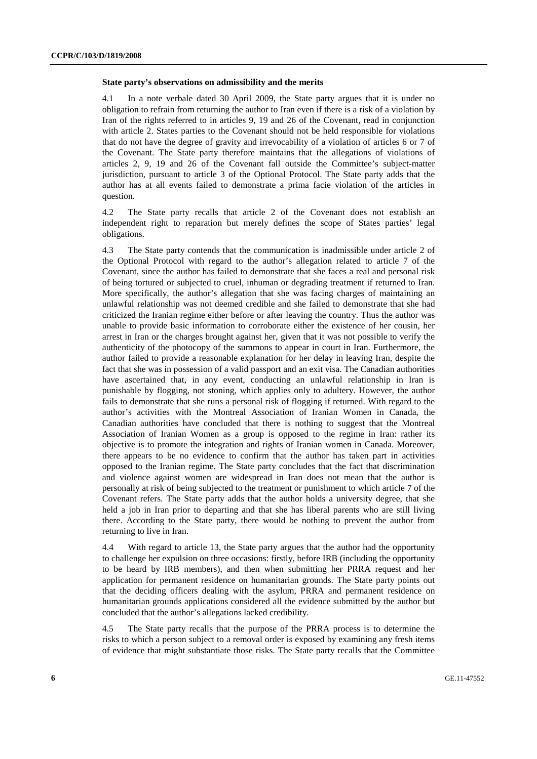#### **State party's observations on admissibility and the merits**

4.1 In a note verbale dated 30 April 2009, the State party argues that it is under no obligation to refrain from returning the author to Iran even if there is a risk of a violation by Iran of the rights referred to in articles 9, 19 and 26 of the Covenant, read in conjunction with article 2. States parties to the Covenant should not be held responsible for violations that do not have the degree of gravity and irrevocability of a violation of articles 6 or 7 of the Covenant. The State party therefore maintains that the allegations of violations of articles 2, 9, 19 and 26 of the Covenant fall outside the Committee's subject-matter jurisdiction, pursuant to article 3 of the Optional Protocol. The State party adds that the author has at all events failed to demonstrate a prima facie violation of the articles in question.

4.2 The State party recalls that article 2 of the Covenant does not establish an independent right to reparation but merely defines the scope of States parties' legal obligations.

4.3 The State party contends that the communication is inadmissible under article 2 of the Optional Protocol with regard to the author's allegation related to article 7 of the Covenant, since the author has failed to demonstrate that she faces a real and personal risk of being tortured or subjected to cruel, inhuman or degrading treatment if returned to Iran. More specifically, the author's allegation that she was facing charges of maintaining an unlawful relationship was not deemed credible and she failed to demonstrate that she had criticized the Iranian regime either before or after leaving the country. Thus the author was unable to provide basic information to corroborate either the existence of her cousin, her arrest in Iran or the charges brought against her, given that it was not possible to verify the authenticity of the photocopy of the summons to appear in court in Iran. Furthermore, the author failed to provide a reasonable explanation for her delay in leaving Iran, despite the fact that she was in possession of a valid passport and an exit visa. The Canadian authorities have ascertained that, in any event, conducting an unlawful relationship in Iran is punishable by flogging, not stoning, which applies only to adultery. However, the author fails to demonstrate that she runs a personal risk of flogging if returned. With regard to the author's activities with the Montreal Association of Iranian Women in Canada, the Canadian authorities have concluded that there is nothing to suggest that the Montreal Association of Iranian Women as a group is opposed to the regime in Iran: rather its objective is to promote the integration and rights of Iranian women in Canada. Moreover, there appears to be no evidence to confirm that the author has taken part in activities opposed to the Iranian regime. The State party concludes that the fact that discrimination and violence against women are widespread in Iran does not mean that the author is personally at risk of being subjected to the treatment or punishment to which article 7 of the Covenant refers. The State party adds that the author holds a university degree, that she held a job in Iran prior to departing and that she has liberal parents who are still living there. According to the State party, there would be nothing to prevent the author from returning to live in Iran.

4.4 With regard to article 13, the State party argues that the author had the opportunity to challenge her expulsion on three occasions: firstly, before IRB (including the opportunity to be heard by IRB members), and then when submitting her PRRA request and her application for permanent residence on humanitarian grounds. The State party points out that the deciding officers dealing with the asylum, PRRA and permanent residence on humanitarian grounds applications considered all the evidence submitted by the author but concluded that the author's allegations lacked credibility.

4.5 The State party recalls that the purpose of the PRRA process is to determine the risks to which a person subject to a removal order is exposed by examining any fresh items of evidence that might substantiate those risks. The State party recalls that the Committee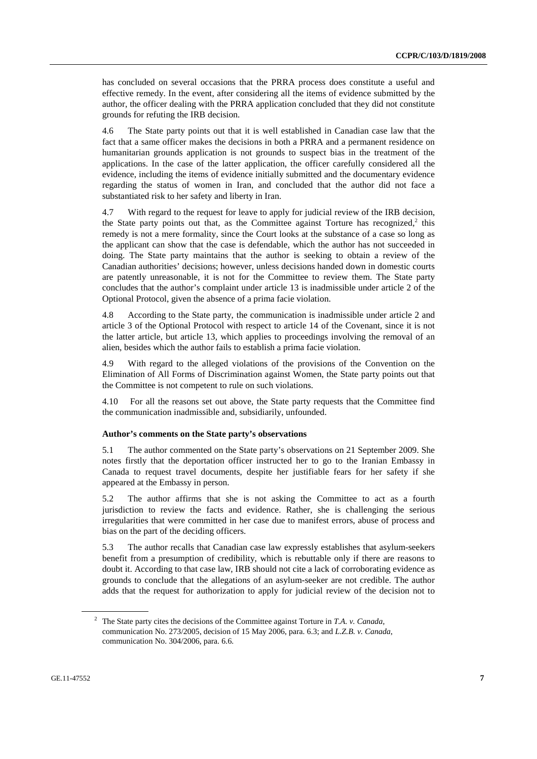has concluded on several occasions that the PRRA process does constitute a useful and effective remedy. In the event, after considering all the items of evidence submitted by the author, the officer dealing with the PRRA application concluded that they did not constitute grounds for refuting the IRB decision.

4.6 The State party points out that it is well established in Canadian case law that the fact that a same officer makes the decisions in both a PRRA and a permanent residence on humanitarian grounds application is not grounds to suspect bias in the treatment of the applications. In the case of the latter application, the officer carefully considered all the evidence, including the items of evidence initially submitted and the documentary evidence regarding the status of women in Iran, and concluded that the author did not face a substantiated risk to her safety and liberty in Iran.

4.7 With regard to the request for leave to apply for judicial review of the IRB decision, the State party points out that, as the Committee against Torture has recognized, $2$  this remedy is not a mere formality, since the Court looks at the substance of a case so long as the applicant can show that the case is defendable, which the author has not succeeded in doing. The State party maintains that the author is seeking to obtain a review of the Canadian authorities' decisions; however, unless decisions handed down in domestic courts are patently unreasonable, it is not for the Committee to review them. The State party concludes that the author's complaint under article 13 is inadmissible under article 2 of the Optional Protocol, given the absence of a prima facie violation.

4.8 According to the State party, the communication is inadmissible under article 2 and article 3 of the Optional Protocol with respect to article 14 of the Covenant, since it is not the latter article, but article 13, which applies to proceedings involving the removal of an alien, besides which the author fails to establish a prima facie violation.

4.9 With regard to the alleged violations of the provisions of the Convention on the Elimination of All Forms of Discrimination against Women, the State party points out that the Committee is not competent to rule on such violations.

4.10 For all the reasons set out above, the State party requests that the Committee find the communication inadmissible and, subsidiarily, unfounded.

### **Author's comments on the State party's observations**

5.1 The author commented on the State party's observations on 21 September 2009. She notes firstly that the deportation officer instructed her to go to the Iranian Embassy in Canada to request travel documents, despite her justifiable fears for her safety if she appeared at the Embassy in person.

5.2 The author affirms that she is not asking the Committee to act as a fourth jurisdiction to review the facts and evidence. Rather, she is challenging the serious irregularities that were committed in her case due to manifest errors, abuse of process and bias on the part of the deciding officers.

5.3 The author recalls that Canadian case law expressly establishes that asylum-seekers benefit from a presumption of credibility, which is rebuttable only if there are reasons to doubt it. According to that case law, IRB should not cite a lack of corroborating evidence as grounds to conclude that the allegations of an asylum-seeker are not credible. The author adds that the request for authorization to apply for judicial review of the decision not to

<sup>2</sup> The State party cites the decisions of the Committee against Torture in *T.A. v. Canada*, communication No. 273/2005, decision of 15 May 2006, para. 6.3; and *L.Z.B. v. Canada*, communication No. 304/2006, para. 6.6.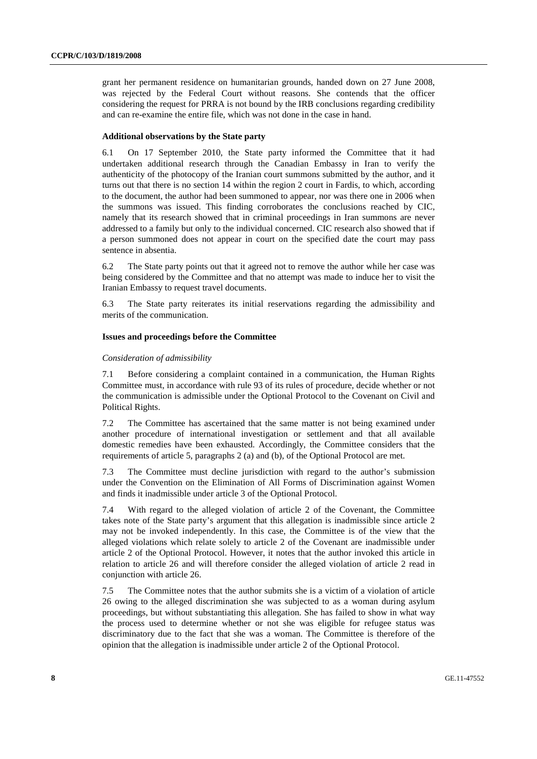grant her permanent residence on humanitarian grounds, handed down on 27 June 2008, was rejected by the Federal Court without reasons. She contends that the officer considering the request for PRRA is not bound by the IRB conclusions regarding credibility and can re-examine the entire file, which was not done in the case in hand.

#### **Additional observations by the State party**

6.1 On 17 September 2010, the State party informed the Committee that it had undertaken additional research through the Canadian Embassy in Iran to verify the authenticity of the photocopy of the Iranian court summons submitted by the author, and it turns out that there is no section 14 within the region 2 court in Fardis, to which, according to the document, the author had been summoned to appear, nor was there one in 2006 when the summons was issued. This finding corroborates the conclusions reached by CIC, namely that its research showed that in criminal proceedings in Iran summons are never addressed to a family but only to the individual concerned. CIC research also showed that if a person summoned does not appear in court on the specified date the court may pass sentence in absentia.

6.2 The State party points out that it agreed not to remove the author while her case was being considered by the Committee and that no attempt was made to induce her to visit the Iranian Embassy to request travel documents.

6.3 The State party reiterates its initial reservations regarding the admissibility and merits of the communication.

#### **Issues and proceedings before the Committee**

#### *Consideration of admissibility*

7.1 Before considering a complaint contained in a communication, the Human Rights Committee must, in accordance with rule 93 of its rules of procedure, decide whether or not the communication is admissible under the Optional Protocol to the Covenant on Civil and Political Rights.

7.2 The Committee has ascertained that the same matter is not being examined under another procedure of international investigation or settlement and that all available domestic remedies have been exhausted. Accordingly, the Committee considers that the requirements of article 5, paragraphs 2 (a) and (b), of the Optional Protocol are met.

7.3 The Committee must decline jurisdiction with regard to the author's submission under the Convention on the Elimination of All Forms of Discrimination against Women and finds it inadmissible under article 3 of the Optional Protocol.

7.4 With regard to the alleged violation of article 2 of the Covenant, the Committee takes note of the State party's argument that this allegation is inadmissible since article 2 may not be invoked independently. In this case, the Committee is of the view that the alleged violations which relate solely to article 2 of the Covenant are inadmissible under article 2 of the Optional Protocol. However, it notes that the author invoked this article in relation to article 26 and will therefore consider the alleged violation of article 2 read in conjunction with article 26.

7.5 The Committee notes that the author submits she is a victim of a violation of article 26 owing to the alleged discrimination she was subjected to as a woman during asylum proceedings, but without substantiating this allegation. She has failed to show in what way the process used to determine whether or not she was eligible for refugee status was discriminatory due to the fact that she was a woman. The Committee is therefore of the opinion that the allegation is inadmissible under article 2 of the Optional Protocol.